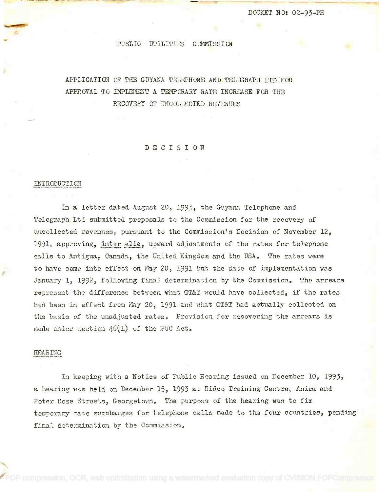# PUBLIC UTILITIES COMMISSION

# APPLICATION OF THE GUYANA TELEPHONE AND TELEGRAPH LTD FOR APPI,ICATION OF THE GUYANA TELEPHONE AND TELEGRAPH LTD FOR APPROVAL TO IMPLEMENT A TEMPORARY RATE INCREASE FOR THE RECOVERY OF UNCOLLECTED REVENUES RECOVERY OF UNCOUECTED REVENUES

DECISION

# INTRODUCTION

In a letter dated August 20, 1993, the Guyana Telephone and Telegraph Ltd submitted proposals to the Commission for the recovery of uncollected revenues, pursuant to the Commission's Decision of November 12, 1991, approving, inter alia, upward adjustments of the rates for telephone calls to Antigua, Canada, the United Kingdom and the USA. The rates were to have come into effect on May 20, 1991 but the date of implementation was January 1, 1992, following final determination by the Commission. The arrears represent the difference between what GT&T would have collected, if the rates had been in effect from May 20, 1991 and what GT&T had actually collected on the basis of the unadjusted rates. Provision for recovering the arrears is made under section  $46(1)$  of the PUC Act.

#### pEARIRG.

In keeping with a Notice of Public Hearing issued on December 10, 1993, a hearing was held on December 15, 1993 at Bideo Training Centre, Anira and Peter Rose Streets, Georgetown. The purpose of the hearing was to fix temporary rate surcharges for telephone calls made to the four countries, pending final determination by the Commission.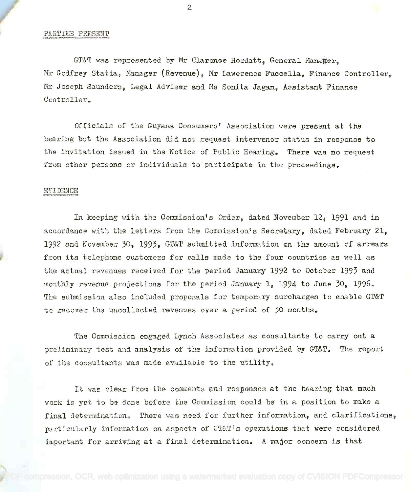# PARTIES PRESENT

GT&T was represented by Mr Clarence Hordatt, General Manaæer, Mr Godfrey Statia, Manager (Revenue), Mr Lawerence Fuccella, Finance Controller, Mr Joseph Saunders, Legal Adviser and Ms Sonita Jagan, Assistant Finance nr Joseph Saunders, Legal Adviser and Me Sonita Jagan, Assistant Finance Controller. Controller •.

Officials of the Guyana Consumers Association were present at the Officials of the Guyana Conswners' Association were present at the hearing but the Association did not request intervenor status in response to hearing but the Association did not request intervenor status in response to the invitation issued in the Notice of Public Hearing. There was no request the invitation issued in the Notice of Public Hearing~ There was no request from other persons or individuals to participate in the proceedings.

# EVIDENCE

In keeping with the Commission's Order, dated November 12, 1991 and in accordance with the letters from the Commission's Secretary, dated February 21, 1992 and November 30, 1993, GT&T submitted information on the amount of arrears 1992 and November 30, 1993, GT&T submitted information on the amount of arrears from its telephone customers for calls made to the four countries as well as from its telephone customers for calls made to the four countries as well as the actual revenues received for the period January 1992 to October 1993 and the aetual revenues received for the period January 1992 to October 1993 and monthly revenue projections for the period January 1, 1994 to June 30, 1996. monthly revenue projections for the period January 1, 1994 to June 30, 19964 The submission also included proposals for temporary surcharges to enable GT&T The submission also included proposals for teffipo~lrysurcharges to enable GT&T to recover the uncollected revenues over a period of 30 months.

The Commission engaged Lynch Associates as consultants to carry out a The Commission engaged Lyrlch Associates as consultants to carry out a preliminary test and analysis of the inforration provided by GT&T. The report preliminary test and analysis of the Infonration provided by GT&T. The report of the consultants was made available to the utility.

It was clear from the comments and responses at the hearing that much work is yet to be done before the Commission could be in a position to make a final determination, There was need for further information, and clarifications, particularly information on aspects of GT&T's operations that were considered important for arriving at a final determination. A major concern is that

2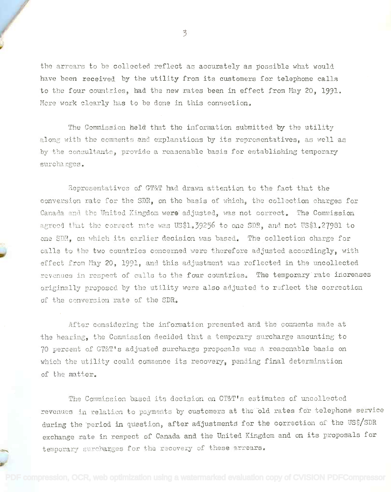the arrears to be collected reflect as accurately as possible what would have been received by the utility from its customers for telephone calls have been received by the utility from its customers for telephone calls to the four countries, had the new rates been in effect from May 20, 1991. More work clearly has to be done in this connection.

The Commission held that the information submitted by the utility along with the comments and explanations by its representatives, as well as by the consultants, provide a reasonable basis for establishing temporary surcharges.

Representatives of GT&T had drawn attention to the fact that the conversion rate for the SDR, on the basis of which, the collection charges for Canada and the United Kingdom we**re** adjusted, was not correct. The Commission agreed that the correct rate was US\$1.39256 to one SDR, and not US\$1.27981 to one SIM, on which its earlier decision was based. The collection charge for calls to the *two* countries concerned, were therefore adjusted accordingly, with effect from May 20, 1991, and this adjustment was reflected in the uncollected revenues in respect of calls to the four countries. The temporary rate increases originally proposed. by the utility were also adjusted to reflect the correction of the conversion rate of the SDR.

pe

After considering the information presented and the comments made at the hearing, the Commission decided that a temporary surcharge amounting to 70 percent of CT&T's adjusted surcharge proposals was a reasonable basis on which the utility could commence its recovery, pending final determination of the matter.

The Commission based its decision on CT&T's estimates of uncollected revenues in relation to payments by customers at the old rates for telephone service during the period in question, after adjustments for the correction of the US\$/SDR exchange rate in respect of Canada and the United Kingdom and on its proposals for temporary surcharges for the recovery of these arrears.

3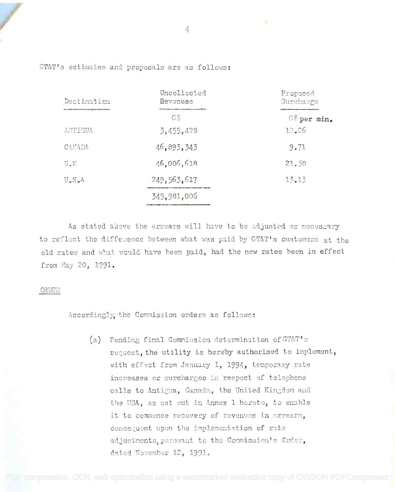| Destination                                | Uncollected<br>Revenues                            | Proposed<br>Surcharge |
|--------------------------------------------|----------------------------------------------------|-----------------------|
| бенце от после дел начале предсе не поляти | <b>Council Country Council and Directed</b><br>G\$ | $G$ per min.          |
| ANTIGUA                                    | 3,455,428                                          | 12.26                 |
| CANADA                                     | 46,893,343                                         | 9.71                  |
| U.K                                        | 46,086,618                                         | 21.58                 |
| $U_{\bullet}S_{\bullet}A$                  | 249,563,617                                        | 13.13                 |
|                                            | 345,981,006                                        |                       |

GT&T's estimates and proposals are as follows:

As stated above the arrears will have to be adjusted as necessary to reflect the difference between what was paid by GT&T's customers at the old rates and what would have been paid, had the new rates been in effect from May 20, 1991.

#### ORDFR

Accordingly; the Commission orders as follows:

(a) Pending final Commission determination of GT&T's request, the utility is hereby authorised to implement, with effect from January 1, 1994, temporary rate increases or surcharges in respect of telephone calls to Antigua, Canada, the United Kingdom and the USA, as set out in Annex 1 hereto, to enable it to commence recovery of revenues in arrears, consequent upon the implementation of rate adjustments, pursuant to the Commission's Order, dated November  $12<sub>j</sub>$  1991.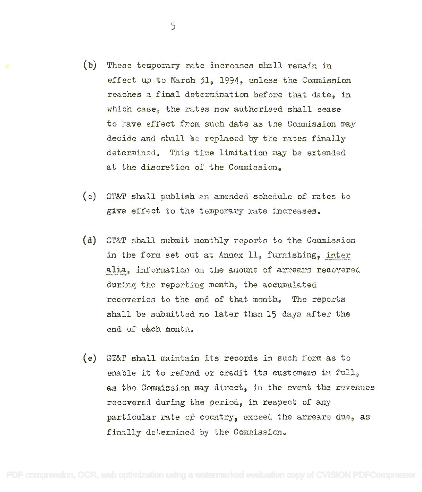- (b) These temporary rate increases shall remain in (b) These temporary rate increases shall remain in effect up to March 31, 1994, unless the Commission effect up to March 31, 1994, unless the Commission reaches a final determination before that date, in reaches a final determination before that date, in which case, the rates now authorised shall cease which case, the rates now authorised shall cease to have effect from such date as the Commission may to have effect from such date as the Commission may decide and shall be replaced by the rates finally decide and shall be replaced by the rates finally determined. This time limitation may be extended determined. This time limitation may be extended at the discretion of the Commission. at the discretion of the Commission.
- (c) GT&T shall publish an amended schedule of rates to (0) GT&T 81~ll publish an amended sohedule of rates to give effect to the temporary rate increases.
- (d) GT&T shall submit monthly reports to the Commission (d) GT&T shall submit monthly reports to the Commission in the form set out at Annex 11, furnishing, inter alia, information on the amount of arrears recovered during the reporting month, the accumulated during the reporting month, the aecumulated recoveries to the end of that month. The reports recoveries to the end of that month.. The reports shall be submitted no later than 15 days after the shall be submitted no later than 15 days after the end of each month.
- (e) GT&T shall maintain its records in such form as to (e) GT&T shall maintai11 its records in such form as to enable it to refund or credit its customers in full, as the Commission may direct, in the event the revenues as the Commission may direct. in the event the revenues recovered during the period, in respect of any recovered during the period, in respect of any particular rate or country, exceed the arrears due, as particular rate ot country, exceed the arrears due, as finally determined by the Commission. finally determined by· the Commissionc